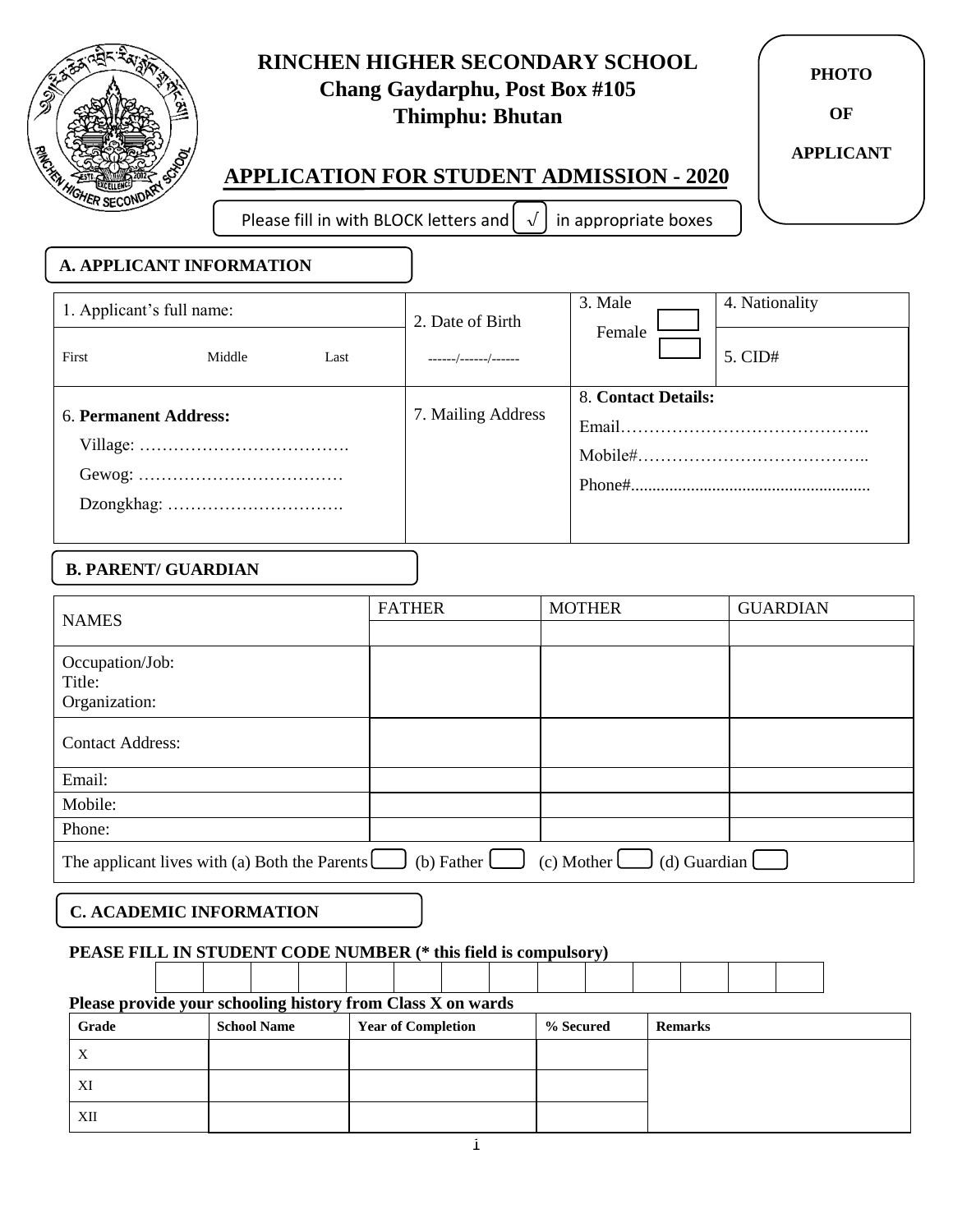

XII

## **RINCHEN HIGHER SECONDARY SCHOOL Chang Gaydarphu, Post Box #105 Thimphu: Bhutan**

**PHOTO**

**OF**

**APPLICANT**

# **APPLICATION FOR STUDENT ADMISSION - 2020**

Please fill in with BLOCK letters and  $\left\lfloor \sqrt{\right\rfloor}$  in appropriate boxes

| <b>A. APPLICANT INFORMATION</b> |                                                                |                  |                           |         |               |                     |                 |
|---------------------------------|----------------------------------------------------------------|------------------|---------------------------|---------|---------------|---------------------|-----------------|
| 1. Applicant's full name:       |                                                                | 2. Date of Birth |                           | 3. Male |               | 4. Nationality      |                 |
| First                           | Middle                                                         | Last             | ------/------/------      |         | Female        |                     | 5. CID#         |
| 6. Permanent Address:           |                                                                |                  | 7. Mailing Address        |         |               | 8. Contact Details: |                 |
|                                 |                                                                |                  |                           |         |               |                     |                 |
|                                 |                                                                |                  |                           |         |               |                     |                 |
|                                 |                                                                |                  |                           |         |               |                     |                 |
|                                 |                                                                |                  |                           |         |               |                     |                 |
| <b>B. PARENT/ GUARDIAN</b>      |                                                                |                  |                           |         |               |                     |                 |
| <b>NAMES</b>                    |                                                                |                  | <b>FATHER</b>             |         | <b>MOTHER</b> |                     | <b>GUARDIAN</b> |
| Occupation/Job:<br>Title:       |                                                                |                  |                           |         |               |                     |                 |
| Organization:                   |                                                                |                  |                           |         |               |                     |                 |
| <b>Contact Address:</b>         |                                                                |                  |                           |         |               |                     |                 |
| Email:                          |                                                                |                  |                           |         |               |                     |                 |
| Mobile:                         |                                                                |                  |                           |         |               |                     |                 |
| Phone:                          |                                                                |                  |                           |         |               |                     |                 |
|                                 | The applicant lives with (a) Both the Parents $\Box$           |                  | (b) Father $\Box$         |         | $(c)$ Mother  |                     | (d) Guardian    |
|                                 | <b>C. ACADEMIC INFORMATION</b>                                 |                  |                           |         |               |                     |                 |
|                                 | PEASE FILL IN STUDENT CODE NUMBER (* this field is compulsory) |                  |                           |         |               |                     |                 |
|                                 | Please provide your schooling history from Class X on wards    |                  |                           |         |               |                     |                 |
| <b>Grade</b>                    | <b>School Name</b>                                             |                  | <b>Year of Completion</b> |         | % Secured     | <b>Remarks</b>      |                 |
| $\mathbf X$                     |                                                                |                  |                           |         |               |                     |                 |
| XI                              |                                                                |                  |                           |         |               |                     |                 |
|                                 |                                                                |                  |                           |         |               |                     |                 |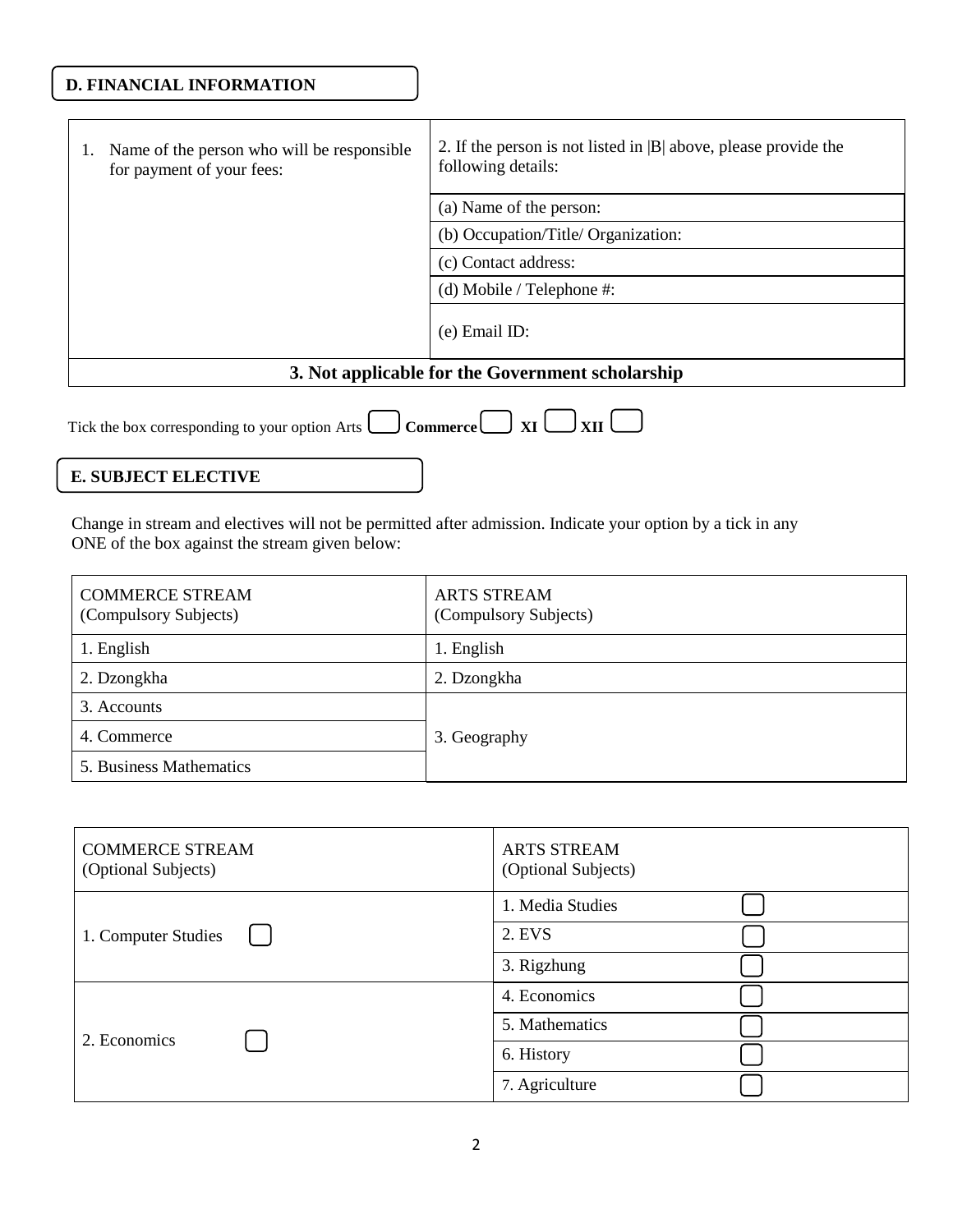### **D. FINANCIAL INFORMATION**

| 1. | Name of the person who will be responsible.<br>for payment of your fees: | 2. If the person is not listed in $ B $ above, please provide the<br>following details: |
|----|--------------------------------------------------------------------------|-----------------------------------------------------------------------------------------|
|    |                                                                          | (a) Name of the person:                                                                 |
|    |                                                                          | (b) Occupation/Title/ Organization:                                                     |
|    |                                                                          | (c) Contact address:                                                                    |
|    |                                                                          | (d) Mobile / Telephone $\#$ :                                                           |
|    |                                                                          | $(e)$ Email ID:                                                                         |
|    |                                                                          | 3. Not applicable for the Government scholarship                                        |
|    |                                                                          |                                                                                         |

| Tick the box corresponding to your option Arts $\Box$ Commerce $\Box$ XI $\Box$ XII $\Box$ |  |  |  |  |  |  |  |
|--------------------------------------------------------------------------------------------|--|--|--|--|--|--|--|
|--------------------------------------------------------------------------------------------|--|--|--|--|--|--|--|

### **E. SUBJECT ELECTIVE**

Change in stream and electives will not be permitted after admission. Indicate your option by a tick in any ONE of the box against the stream given below:

| <b>COMMERCE STREAM</b><br>(Compulsory Subjects) | <b>ARTS STREAM</b><br>(Compulsory Subjects) |
|-------------------------------------------------|---------------------------------------------|
| 1. English                                      | 1. English                                  |
| 2. Dzongkha                                     | 2. Dzongkha                                 |
| 3. Accounts                                     |                                             |
| 4. Commerce                                     | 3. Geography                                |
| 5. Business Mathematics                         |                                             |

| <b>COMMERCE STREAM</b><br>(Optional Subjects) | <b>ARTS STREAM</b><br>(Optional Subjects) |
|-----------------------------------------------|-------------------------------------------|
|                                               | 1. Media Studies                          |
| 1. Computer Studies                           | 2. EVS                                    |
|                                               | 3. Rigzhung                               |
|                                               | 4. Economics                              |
| 2. Economics                                  | 5. Mathematics                            |
|                                               | 6. History                                |
|                                               | 7. Agriculture                            |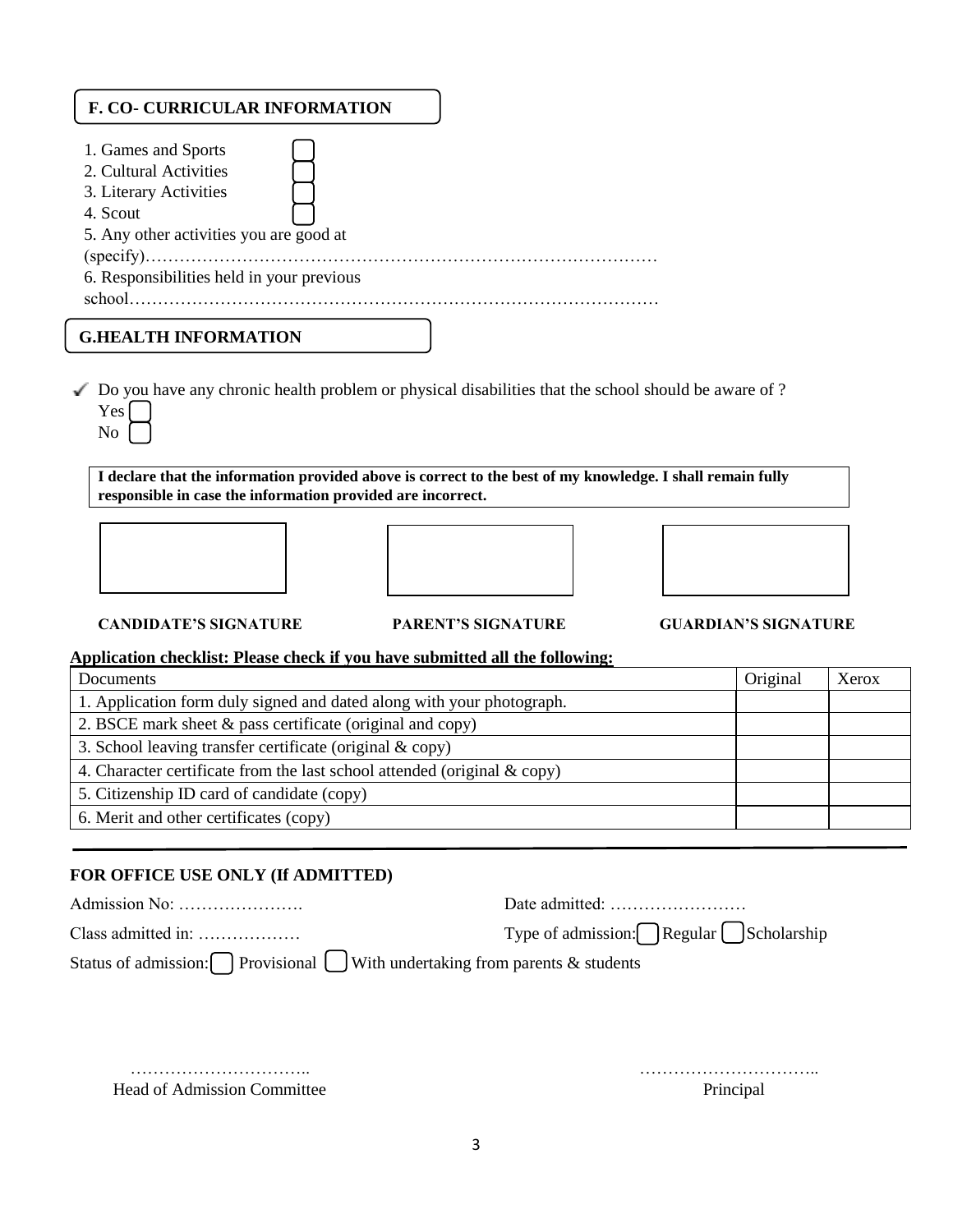| <b>F. CO- CURRICULAR INFORMATION</b>                                                                                                                                                  |
|---------------------------------------------------------------------------------------------------------------------------------------------------------------------------------------|
| 1. Games and Sports<br>2. Cultural Activities<br>3. Literary Activities<br>4. Scout<br>5. Any other activities you are good at<br>6. Responsibilities held in your previous<br>school |
| <b>G.HEALTH INFORMATION</b>                                                                                                                                                           |

 $\blacktriangleright$  Do you have any chronic health problem or physical disabilities that the school should be aware of ? Yes

**I declare that the information provided above is correct to the best of my knowledge. I shall remain fully responsible in case the information provided are incorrect.**



No



**CANDIDATE'S SIGNATURE PARENT'S SIGNATURE GUARDIAN'S SIGNATURE**

#### **Application checklist: Please check if you have submitted all the following:**

| Documents                                                                   | Original | Xerox |
|-----------------------------------------------------------------------------|----------|-------|
| 1. Application form duly signed and dated along with your photograph.       |          |       |
| 2. BSCE mark sheet $\&$ pass certificate (original and copy)                |          |       |
| 3. School leaving transfer certificate (original $\&$ copy)                 |          |       |
| 4. Character certificate from the last school attended (original $\&$ copy) |          |       |
| 5. Citizenship ID card of candidate (copy)                                  |          |       |
| 6. Merit and other certificates (copy)                                      |          |       |

#### **FOR OFFICE USE ONLY (If ADMITTED)**

| Admission No:                                                             |                                        |
|---------------------------------------------------------------------------|----------------------------------------|
| Class admitted in:                                                        | Type of admission: Regular Scholarship |
| Status of admission: Provisional With undertaking from parents & students |                                        |

 ………………………….. ………………………….. Head of Admission Committee Principal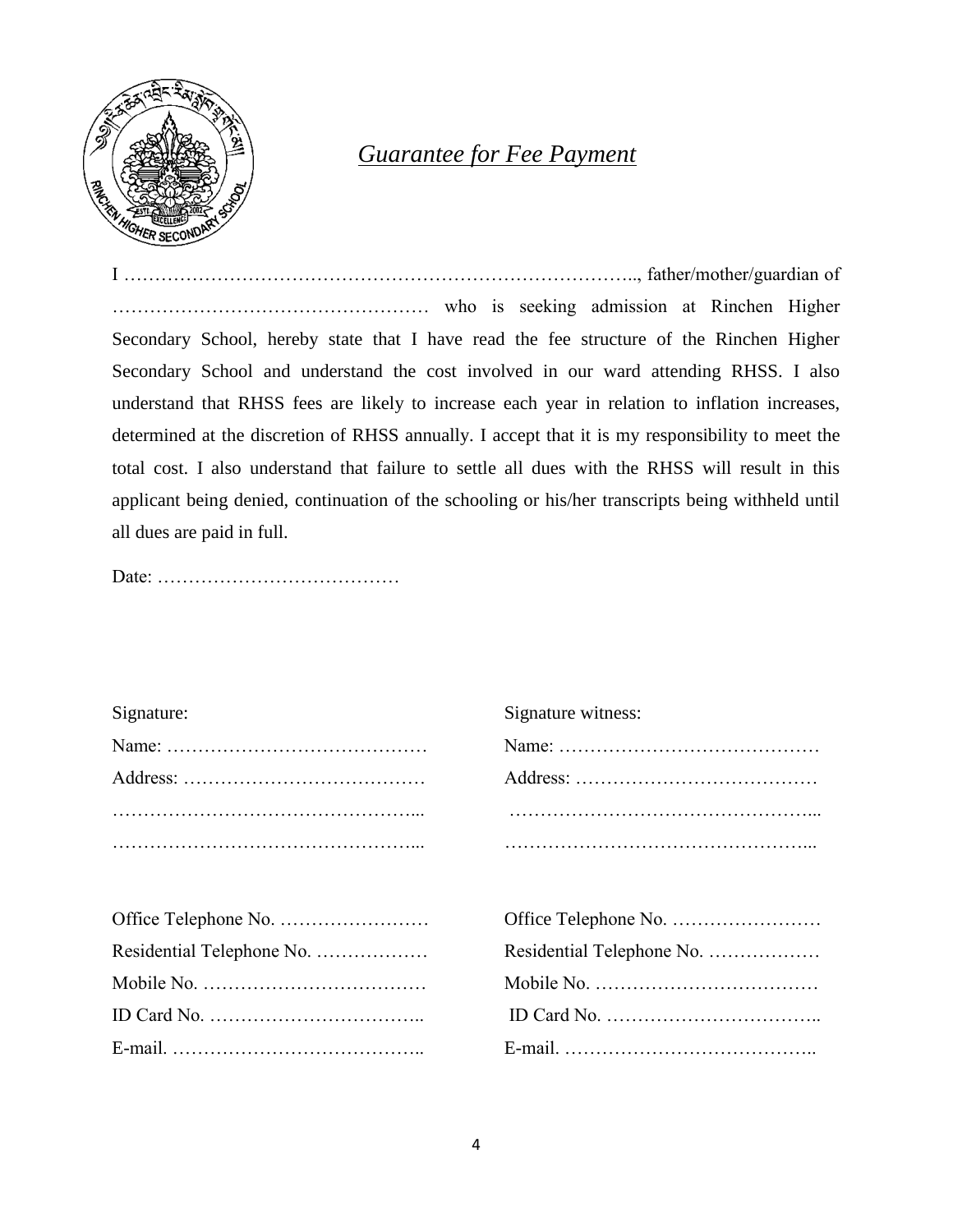

# *Guarantee for Fee Payment*

I ……………………………………………………………………….., father/mother/guardian of …………………………………………… who is seeking admission at Rinchen Higher Secondary School, hereby state that I have read the fee structure of the Rinchen Higher Secondary School and understand the cost involved in our ward attending RHSS. I also understand that RHSS fees are likely to increase each year in relation to inflation increases, determined at the discretion of RHSS annually. I accept that it is my responsibility to meet the total cost. I also understand that failure to settle all dues with the RHSS will result in this applicant being denied, continuation of the schooling or his/her transcripts being withheld until all dues are paid in full.

Date: …………………………………

| Signature: | Signature witness: |
|------------|--------------------|
|            |                    |
|            |                    |
|            |                    |
|            |                    |
|            |                    |
|            |                    |

| UTING I CREATION TWO CONTINUES INTO THE CONTINUES OF THE CONTINUES.        |                           |
|----------------------------------------------------------------------------|---------------------------|
|                                                                            | Residential Telephone No. |
|                                                                            |                           |
| ID Card No. $\dots\dots\dots\dots\dots\dots\dots\dots\dots\dots\dots\dots$ |                           |
|                                                                            |                           |

| Residential Telephone No. |
|---------------------------|
|                           |
|                           |
|                           |